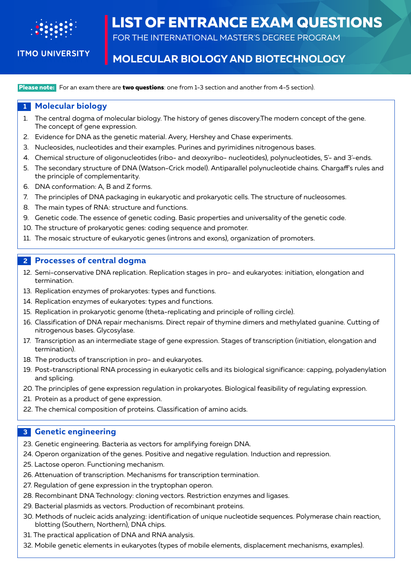

**ITMO UNIVERSITY** 

# **LIST OF ENTRANCE EXAM QUESTIONS**

FOR THE INTERNATIONAL MASTER'S DEGREE PROGRAM

# **MOLECULAR BIOLOGY AND BIOTECHNOLOGY**

 **Please note:** For an exam there are **two questions**: one from 1-3 section and another from 4-5 section).

## **1 Molecular biology**

- 1. The central dogma of molecular biology. The history of genes discovery.The modern concept of the gene. The concept of gene expression.
- 2. Evidence for DNA as the genetic material. Avery, Hershey and Chase experiments.
- 3. Nucleosides, nucleotides and their examples. Purines and pyrimidines nitrogenous bases.
- 4. Chemical structure of oligonucleotides (ribo- and deoxyribo- nucleotides), polynucleotides, 5'- and 3'-ends.
- 5. The secondary structure of DNA (Watson-Crick model). Antiparallel polynucleotide chains. Chargaff's rules and the principle of complementarity.
- 6. DNA conformation: A, B and Z forms.
- 7. The principles of DNA packaging in eukaryotic and prokaryotic cells. The structure of nucleosomes.
- 8. The main types of RNA: structure and functions.
- 9. Genetic code. The essence of genetic coding. Basic properties and universality of the genetic code.
- 10. The structure of prokaryotic genes: coding sequence and promoter.
- 11. The mosaic structure of eukaryotic genes (introns and exons), organization of promoters.

#### **2 Processes of central dogma**

- 12. Semi-conservative DNA replication. Replication stages in pro- and eukaryotes: initiation, elongation and termination.
- 13. Replication enzymes of prokaryotes: types and functions.
- 14. Replication enzymes of eukaryotes: types and functions.
- 15. Replication in prokaryotic genome (theta-replicating and principle of rolling circle).
- 16. Classification of DNA repair mechanisms. Direct repair of thymine dimers and methylated guanine. Cutting of nitrogenous bases. Glycosylase.
- 17. Transcription as an intermediate stage of gene expression. Stages of transcription (initiation, elongation and termination).
- 18. The products of transcription in pro- and eukaryotes.
- 19. Post-transcriptional RNA processing in eukaryotic cells and its biological significance: capping, polyadenylation and splicing.
- 20. The principles of gene expression regulation in prokaryotes. Biological feasibility of regulating expression.
- 21. Protein as a product of gene expression.
- 22. The chemical composition of proteins. Classification of amino acids.

# **3 Genetic engineering**

- 23. Genetic engineering. Bacteria as vectors for amplifying foreign DNA.
- 24. Operon organization of the genes. Positive and negative regulation. Induction and repression.
- 25. Lactose operon. Functioning mechanism.
- 26. Attenuation of transcription. Mechanisms for transcription termination.
- 27. Regulation of gene expression in the tryptophan operon.
- 28. Recombinant DNA Technology: cloning vectors. Restriction enzymes and ligases.
- 29. Bacterial plasmids as vectors. Production of recombinant proteins.
- 30. Methods of nucleic acids analyzing: identification of unique nucleotide sequences. Polymerase chain reaction, blotting (Southern, Northern), DNA chips.
- 31. The practical application of DNA and RNA analysis.
- 32. Mobile genetic elements in eukaryotes (types of mobile elements, displacement mechanisms, examples).